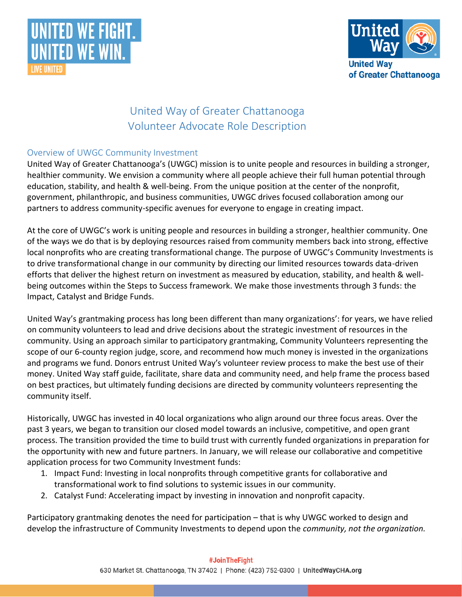



# United Way of Greater Chattanooga Volunteer Advocate Role Description

#### Overview of UWGC Community Investment

United Way of Greater Chattanooga's (UWGC) mission is to unite people and resources in building a stronger, healthier community. We envision a community where all people achieve their full human potential through education, stability, and health & well-being. From the unique position at the center of the nonprofit, government, philanthropic, and business communities, UWGC drives focused collaboration among our partners to address community-specific avenues for everyone to engage in creating impact.

At the core of UWGC's work is uniting people and resources in building a stronger, healthier community. One of the ways we do that is by deploying resources raised from community members back into strong, effective local nonprofits who are creating transformational change. The purpose of UWGC's Community Investments is to drive transformational change in our community by directing our limited resources towards data-driven efforts that deliver the highest return on investment as measured by education, stability, and health & wellbeing outcomes within the Steps to Success framework. We make those investments through 3 funds: the Impact, Catalyst and Bridge Funds.

United Way's grantmaking process has long been different than many organizations': for years, we have relied on community volunteers to lead and drive decisions about the strategic investment of resources in the community. Using an approach similar to participatory grantmaking, Community Volunteers representing the scope of our 6-county region judge, score, and recommend how much money is invested in the organizations and programs we fund. Donors entrust United Way's volunteer review process to make the best use of their money. United Way staff guide, facilitate, share data and community need, and help frame the process based on best practices, but ultimately funding decisions are directed by community volunteers representing the community itself.

Historically, UWGC has invested in 40 local organizations who align around our three focus areas. Over the past 3 years, we began to transition our closed model towards an inclusive, competitive, and open grant process. The transition provided the time to build trust with currently funded organizations in preparation for the opportunity with new and future partners. In January, we will release our collaborative and competitive application process for two Community Investment funds:

- 1. Impact Fund: Investing in local nonprofits through competitive grants for collaborative and transformational work to find solutions to systemic issues in our community.
- 2. Catalyst Fund: Accelerating impact by investing in innovation and nonprofit capacity.

Participatory grantmaking denotes the need for participation – that is why UWGC worked to design and develop the infrastructure of Community Investments to depend upon the *community, not the organization.*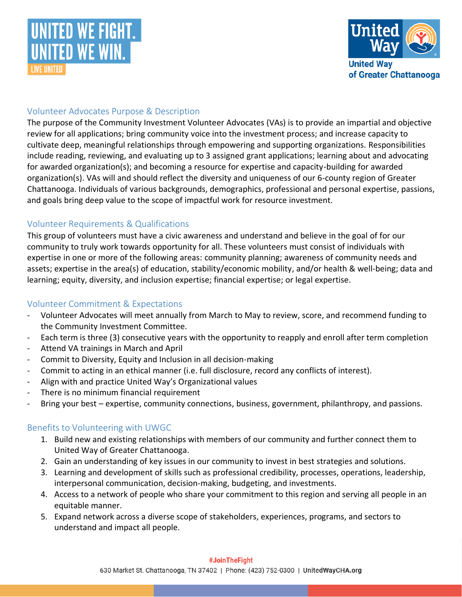



## Volunteer Advocates Purpose & Description

The purpose of the Community Investment Volunteer Advocates (VAs) is to provide an impartial and objective review for all applications; bring community voice into the investment process; and increase capacity to cultivate deep, meaningful relationships through empowering and supporting organizations. Responsibilities include reading, reviewing, and evaluating up to 3 assigned grant applications; learning about and advocating for awarded organization(s); and becoming a resource for expertise and capacity-building for awarded organization(s). VAs will and should reflect the diversity and uniqueness of our 6-county region of Greater Chattanooga. Individuals of various backgrounds, demographics, professional and personal expertise, passions, and goals bring deep value to the scope of impactful work for resource investment.

#### Volunteer Requirements & Qualifications

This group of volunteers must have a civic awareness and understand and believe in the goal of for our community to truly work towards opportunity for all. These volunteers must consist of individuals with expertise in one or more of the following areas: community planning; awareness of community needs and assets; expertise in the area(s) of education, stability/economic mobility, and/or health & well-being; data and learning; equity, diversity, and inclusion expertise; financial expertise; or legal expertise.

### Volunteer Commitment & Expectations

- Volunteer Advocates will meet annually from March to May to review, score, and recommend funding to the Community Investment Committee.
- Each term is three (3) consecutive years with the opportunity to reapply and enroll after term completion
- Attend VA trainings in March and April
- Commit to Diversity, Equity and Inclusion in all decision-making
- Commit to acting in an ethical manner (i.e. full disclosure, record any conflicts of interest).
- Align with and practice United Way's Organizational values
- There is no minimum financial requirement
- Bring your best expertise, community connections, business, government, philanthropy, and passions.

## Benefits to Volunteering with UWGC

- 1. Build new and existing relationships with members of our community and further connect them to United Way of Greater Chattanooga.
- 2. Gain an understanding of key issues in our community to invest in best strategies and solutions.
- 3. Learning and development of skills such as professional credibility, processes, operations, leadership, interpersonal communication, decision-making, budgeting, and investments.
- 4. Access to a network of people who share your commitment to this region and serving all people in an equitable manner.
- 5. Expand network across a diverse scope of stakeholders, experiences, programs, and sectors to understand and impact all people.